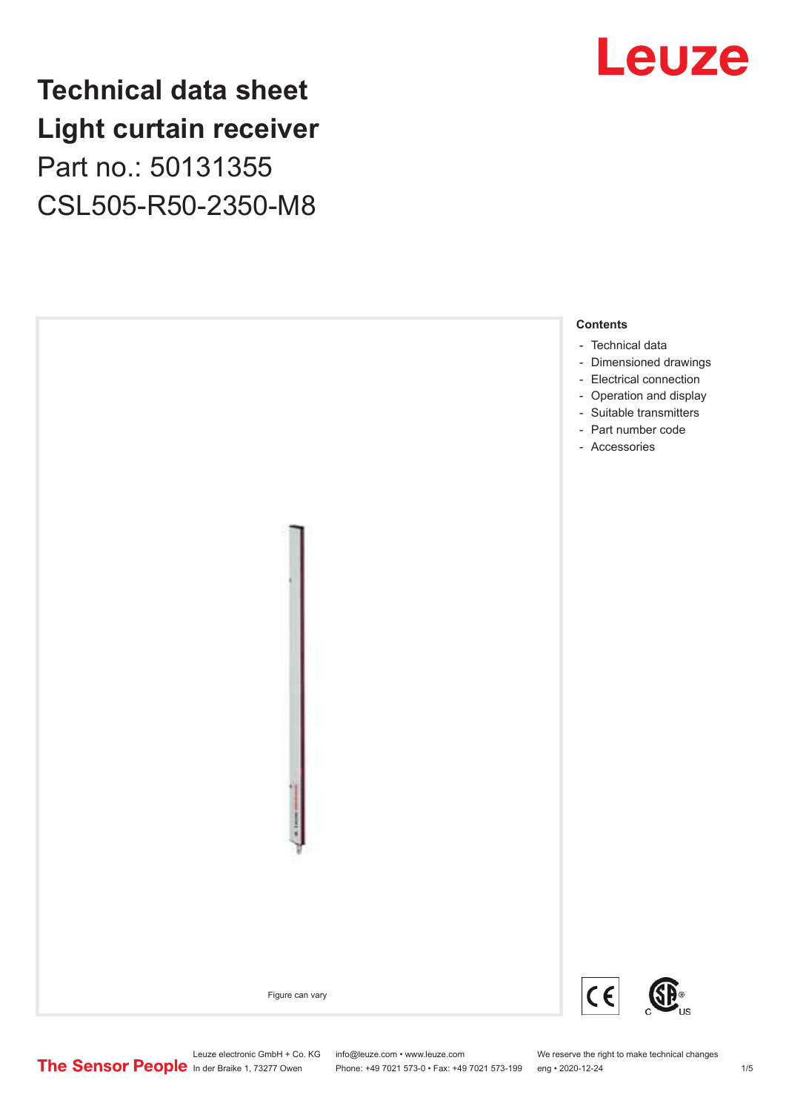### **Technical data sheet Light curtain receiver** Part no.: 50131355 CSL505-R50-2350-M8





Leuze electronic GmbH + Co. KG info@leuze.com • www.leuze.com We reserve the right to make technical changes<br>
The Sensor People in der Braike 1, 73277 Owen Phone: +49 7021 573-0 • Fax: +49 7021 573-199 eng • 2020-12-24

Phone: +49 7021 573-0 • Fax: +49 7021 573-199 eng • 2020-12-24 1 2020-12-24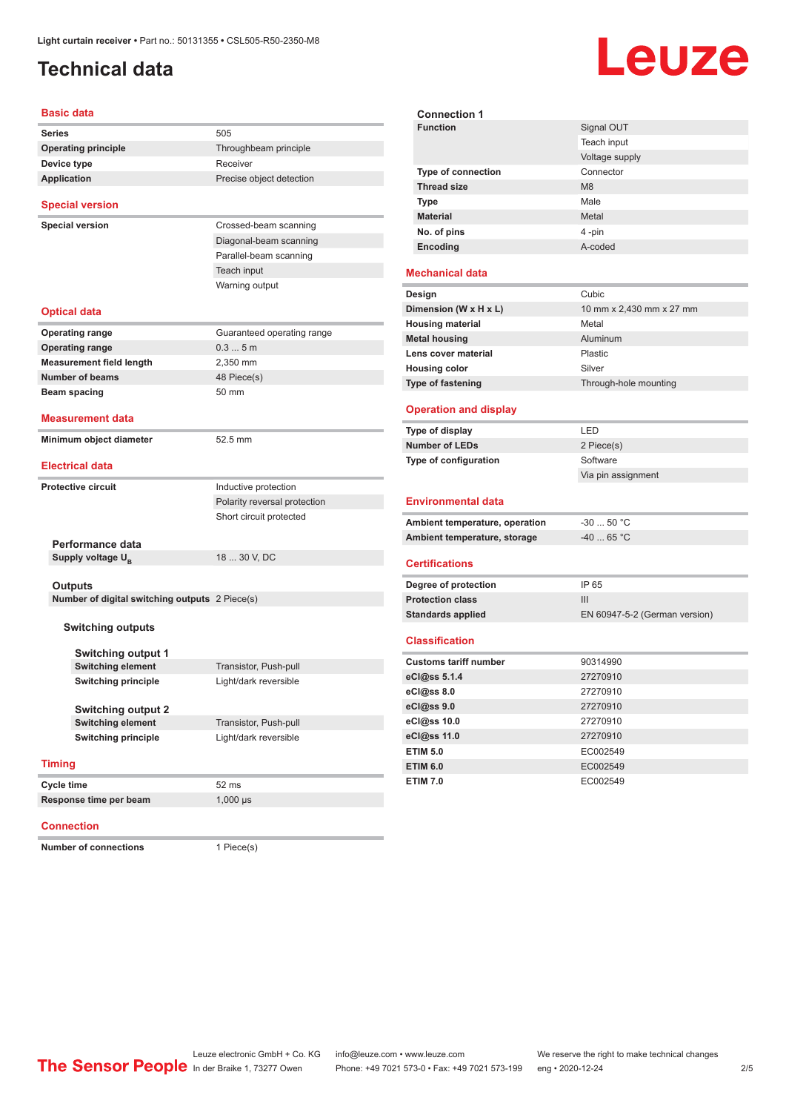### <span id="page-1-0"></span>**Technical data**

# Leuze

| Basic data                                                       |                              | <b>Connection 1</b>                           |
|------------------------------------------------------------------|------------------------------|-----------------------------------------------|
| <b>Series</b>                                                    | 505                          | <b>Function</b>                               |
| <b>Operating principle</b>                                       | Throughbeam principle        |                                               |
| Device type                                                      | Receiver                     |                                               |
| <b>Application</b>                                               | Precise object detection     | <b>Type of connec</b>                         |
|                                                                  |                              | <b>Thread size</b>                            |
| <b>Special version</b>                                           |                              | Type                                          |
| <b>Special version</b>                                           | Crossed-beam scanning        | Material                                      |
|                                                                  | Diagonal-beam scanning       | No. of pins                                   |
|                                                                  | Parallel-beam scanning       | Encoding                                      |
|                                                                  | Teach input                  |                                               |
|                                                                  | Warning output               | <b>Mechanical data</b>                        |
|                                                                  |                              | Design                                        |
| Optical data                                                     |                              | Dimension (W x H                              |
|                                                                  |                              | <b>Housing material</b>                       |
| <b>Operating range</b>                                           | Guaranteed operating range   | <b>Metal housing</b>                          |
| <b>Operating range</b>                                           | 0.35m                        | Lens cover materi                             |
| <b>Measurement field length</b>                                  | 2,350 mm                     | <b>Housing color</b>                          |
| <b>Number of beams</b>                                           | 48 Piece(s)                  | <b>Type of fastening</b>                      |
| Beam spacing                                                     | 50 mm                        |                                               |
| <b>Measurement data</b>                                          |                              | <b>Operation and c</b>                        |
| Minimum object diameter                                          | 52.5 mm                      | Type of display                               |
|                                                                  |                              | <b>Number of LEDs</b>                         |
| <b>Electrical data</b>                                           |                              | Type of configurat                            |
| <b>Protective circuit</b>                                        | Inductive protection         |                                               |
|                                                                  | Polarity reversal protection | <b>Environmental</b>                          |
|                                                                  | Short circuit protected      | <b>Ambient temperat</b>                       |
|                                                                  |                              | <b>Ambient temperat</b>                       |
| Performance data                                                 |                              |                                               |
| Supply voltage $U_{\rm R}$                                       | 18  30 V, DC                 | <b>Certifications</b>                         |
|                                                                  |                              |                                               |
| <b>Outputs</b><br>Number of digital switching outputs 2 Piece(s) |                              | Degree of protecti<br><b>Protection class</b> |
|                                                                  |                              | <b>Standards applied</b>                      |
| <b>Switching outputs</b>                                         |                              |                                               |
|                                                                  |                              | <b>Classification</b>                         |
| <b>Switching output 1</b>                                        |                              |                                               |
| <b>Switching element</b>                                         | Transistor, Push-pull        | <b>Customs tariff nur</b>                     |
| <b>Switching principle</b>                                       | Light/dark reversible        | eCl@ss 5.1.4                                  |
|                                                                  |                              | eCl@ss 8.0                                    |
| <b>Switching output 2</b>                                        |                              | eCl@ss 9.0                                    |
| <b>Switching element</b>                                         | Transistor, Push-pull        | eCl@ss 10.0                                   |
| <b>Switching principle</b>                                       | Light/dark reversible        | eCl@ss 11.0                                   |
|                                                                  |                              | <b>ETIM 5.0</b>                               |
| <b>Timing</b>                                                    |                              | <b>ETIM 6.0</b>                               |
| Cycle time                                                       | 52 ms                        | <b>ETIM 7.0</b>                               |
| Response time per beam                                           | $1,000 \,\mu s$              |                                               |
|                                                                  |                              |                                               |

#### **Connection**

**Number of connections** 1 Piece(s)

| <b>Function</b>                | Signal OUT                    |
|--------------------------------|-------------------------------|
|                                | Teach input                   |
|                                | Voltage supply                |
| <b>Type of connection</b>      | Connector                     |
| <b>Thread size</b>             | M <sub>8</sub>                |
| <b>Type</b>                    | Male                          |
| <b>Material</b>                | Metal                         |
| No. of pins                    | 4-pin                         |
| Encoding                       | A-coded                       |
|                                |                               |
| <b>Mechanical data</b>         |                               |
| Design                         | Cubic                         |
| Dimension (W x H x L)          | 10 mm x 2,430 mm x 27 mm      |
| <b>Housing material</b>        | Metal                         |
| <b>Metal housing</b>           | Aluminum                      |
| Lens cover material            | Plastic                       |
| <b>Housing color</b>           | Silver                        |
| Type of fastening              | Through-hole mounting         |
| <b>Operation and display</b>   |                               |
| Type of display                | LED                           |
| <b>Number of LEDs</b>          | 2 Piece(s)                    |
| Type of configuration          | Software                      |
|                                | Via pin assignment            |
|                                |                               |
| <b>Environmental data</b>      |                               |
| Ambient temperature, operation | $-30$ 50 °C                   |
| Ambient temperature, storage   | $-40$ 65 °C                   |
|                                |                               |
| <b>Certifications</b>          |                               |
| Degree of protection           | IP 65                         |
| <b>Protection class</b>        | III                           |
| <b>Standards applied</b>       | EN 60947-5-2 (German version) |
| <b>Classification</b>          |                               |
|                                |                               |
| <b>Customs tariff number</b>   | 90314990                      |

| eCl@ss 5.1.4    | 27270910 |
|-----------------|----------|
| eCl@ss 8.0      | 27270910 |
| eCl@ss 9.0      | 27270910 |
| eCl@ss 10.0     | 27270910 |
| eCl@ss 11.0     | 27270910 |
| <b>ETIM 5.0</b> | EC002549 |
| <b>ETIM 6.0</b> | EC002549 |
| <b>ETIM 7.0</b> | EC002549 |
|                 |          |

Leuze electronic GmbH + Co. KG info@leuze.com • www.leuze.com We reserve the right to make technical changes<br>
The Sensor People in der Braike 1, 73277 Owen Phone: +49 7021 573-0 • Fax: +49 7021 573-199 eng • 2020-12-24

Phone: +49 7021 573-0 • Fax: +49 7021 573-199 eng • 2020-12-24 24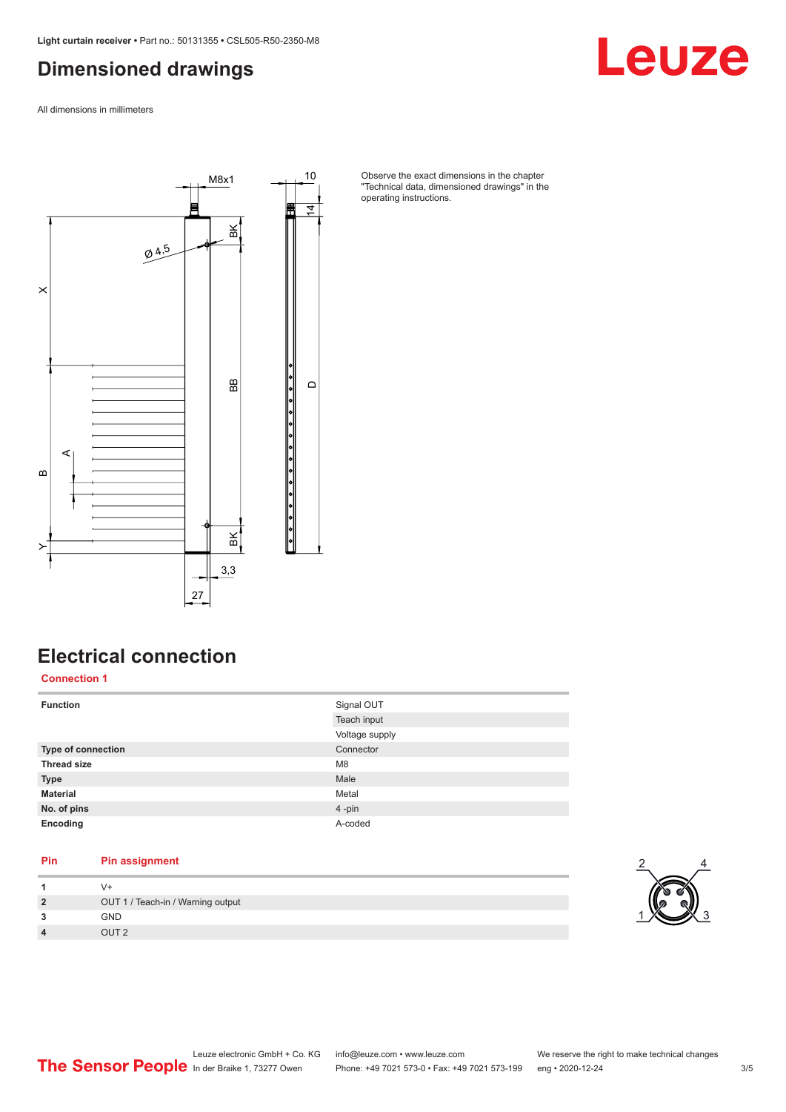### <span id="page-2-0"></span>**Dimensioned drawings**

All dimensions in millimeters



Observe the exact dimensions in the chapter "Technical data, dimensioned drawings" in the operating instructions.

### **Electrical connection**

**Connection 1**

| <b>Function</b>           | Signal OUT     |
|---------------------------|----------------|
|                           | Teach input    |
|                           | Voltage supply |
| <b>Type of connection</b> | Connector      |
| <b>Thread size</b>        | M <sub>8</sub> |
| <b>Type</b>               | Male           |
| <b>Material</b>           | Metal          |
| No. of pins               | 4-pin          |
| Encoding                  | A-coded        |

### **Pin Pin assignment**

| $\overline{2}$          | OUT 1 / Teach-in / Warning output |
|-------------------------|-----------------------------------|
| 3                       | <b>GND</b>                        |
| $\overline{\mathbf{4}}$ | OLIT 2                            |



Leuze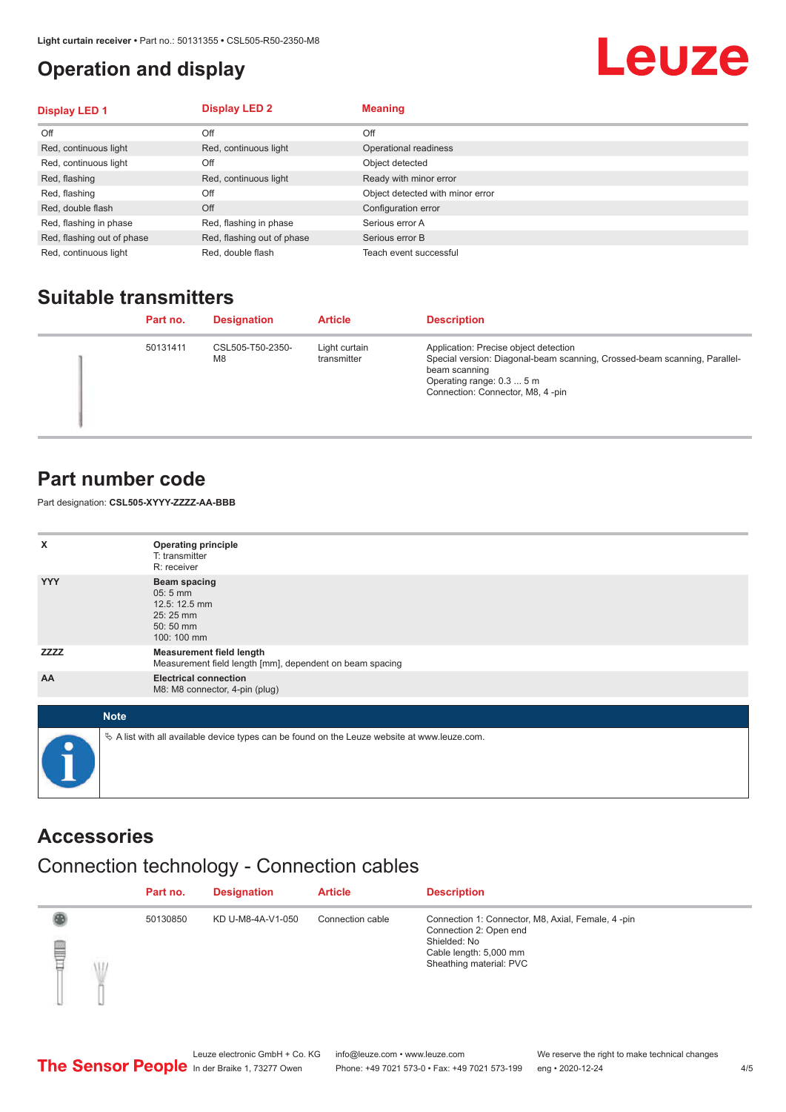### <span id="page-3-0"></span>**Operation and display**

## Leuze

| <b>Display LED 1</b>       | <b>Display LED 2</b>       | <b>Meaning</b>                   |
|----------------------------|----------------------------|----------------------------------|
| Off                        | Off                        | Off                              |
| Red, continuous light      | Red, continuous light      | Operational readiness            |
| Red, continuous light      | Off                        | Object detected                  |
| Red, flashing              | Red, continuous light      | Ready with minor error           |
| Red, flashing              | Off                        | Object detected with minor error |
| Red, double flash          | Off                        | Configuration error              |
| Red, flashing in phase     | Red, flashing in phase     | Serious error A                  |
| Red, flashing out of phase | Red, flashing out of phase | Serious error B                  |
| Red, continuous light      | Red, double flash          | Teach event successful           |

### **Suitable transmitters**

| Part no. | <b>Designation</b>     | <b>Article</b>               | <b>Description</b>                                                                                                                                                                                   |
|----------|------------------------|------------------------------|------------------------------------------------------------------------------------------------------------------------------------------------------------------------------------------------------|
| 50131411 | CSL505-T50-2350-<br>M8 | Light curtain<br>transmitter | Application: Precise object detection<br>Special version: Diagonal-beam scanning, Crossed-beam scanning, Parallel-<br>beam scanning<br>Operating range: 0.3  5 m<br>Connection: Connector, M8, 4-pin |

### **Part number code**

Part designation: **CSL505-XYYY-ZZZZ-AA-BBB**

| x           | <b>Operating principle</b><br>T: transmitter<br>R: receiver                                     |
|-------------|-------------------------------------------------------------------------------------------------|
| <b>YYY</b>  | <b>Beam spacing</b><br>$05:5$ mm<br>12.5: 12.5 mm<br>25:25 mm<br>50:50 mm<br>100: 100 mm        |
| <b>ZZZZ</b> | <b>Measurement field length</b><br>Measurement field length [mm], dependent on beam spacing     |
| AA          | <b>Electrical connection</b><br>M8: M8 connector, 4-pin (plug)                                  |
| <b>Note</b> |                                                                                                 |
| $\bullet$   | $\&$ A list with all available device types can be found on the Leuze website at www.leuze.com. |

#### **Accessories**

### Connection technology - Connection cables

|        | Part no. | <b>Designation</b> | <b>Article</b>   | <b>Description</b>                                                                                                                                |
|--------|----------|--------------------|------------------|---------------------------------------------------------------------------------------------------------------------------------------------------|
| §<br>Ŵ | 50130850 | KD U-M8-4A-V1-050  | Connection cable | Connection 1: Connector, M8, Axial, Female, 4 -pin<br>Connection 2: Open end<br>Shielded: No<br>Cable length: 5,000 mm<br>Sheathing material: PVC |